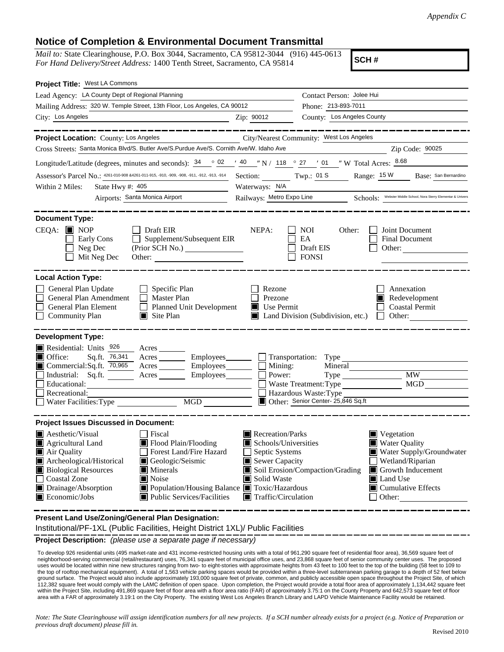## **Notice of Completion & Environmental Document Transmittal**

*Mail to:* State Clearinghouse, P.O. Box 3044, Sacramento, CA 95812-3044 (916) 445-0613 *For Hand Delivery/Street Address:* 1400 Tenth Street, Sacramento, CA 95814

**SCH #**

| Project Title: West LA Commons                                                                                                                                                                                                                                                                                                                                     |                                                   |                                                                                                                                             |
|--------------------------------------------------------------------------------------------------------------------------------------------------------------------------------------------------------------------------------------------------------------------------------------------------------------------------------------------------------------------|---------------------------------------------------|---------------------------------------------------------------------------------------------------------------------------------------------|
| Lead Agency: LA County Dept of Regional Planning                                                                                                                                                                                                                                                                                                                   |                                                   | Contact Person: Jolee Hui                                                                                                                   |
| Mailing Address: 320 W. Temple Street, 13th Floor, Los Angeles, CA 90012                                                                                                                                                                                                                                                                                           |                                                   | Phone: 213-893-7011                                                                                                                         |
| City: Los Angeles<br><u> 1980 - Johann Barn, mars ann an t-Amhain Aonaich an t-Aonaich an t-Aonaich an t-Aonaich an t-Aonaich ann an t-</u>                                                                                                                                                                                                                        | Zip: 90012                                        | County: Los Angeles County                                                                                                                  |
| . __ __ __ __ __ __ .<br>Project Location: County: Los Angeles                                                                                                                                                                                                                                                                                                     |                                                   | City/Nearest Community: West Los Angeles                                                                                                    |
| Cross Streets: Santa Monica Blvd/S. Butler Ave/S. Purdue Ave/S. Cornith Ave/W. Idaho Ave                                                                                                                                                                                                                                                                           |                                                   | Zip Code: 90025<br><u> 1990 - John Stein, mars and de Brand</u>                                                                             |
| Longitude/Latitude (degrees, minutes and seconds): $\frac{34}{9}$ $\frac{02}{14}$ $\frac{40}{14}$ N / $\frac{118}{148}$ $\frac{027}{27}$ $\frac{01}{14}$ W Total Acres: $\frac{8.68}{140}$                                                                                                                                                                         |                                                   |                                                                                                                                             |
| Assessor's Parcel No.: 4261-010-908 &4261-011-915, -910, -909, -908, -911, -912, -913, -914                                                                                                                                                                                                                                                                        |                                                   | Section: Twp.: 01 S Range: 15 W Base: San Bernardino                                                                                        |
| State Hwy #: 405<br>Within 2 Miles:                                                                                                                                                                                                                                                                                                                                | Waterways: N/A                                    |                                                                                                                                             |
| Airports: Santa Monica Airport                                                                                                                                                                                                                                                                                                                                     | Railways: Metro Expo Line                         | Schools: Webster Middle School, Nora Sterry Elementar & Univers                                                                             |
| <b>Document Type:</b>                                                                                                                                                                                                                                                                                                                                              |                                                   |                                                                                                                                             |
| $CEQA:$ MOP<br>Draft EIR<br>Supplement/Subsequent EIR<br>Early Cons<br>Neg Dec<br>(Prior SCH No.) ________________<br>Mit Neg Dec<br>Other:                                                                                                                                                                                                                        | NEPA:                                             | Joint Document<br><b>NOI</b><br>Other:<br>EA<br><b>Final Document</b><br>Draft EIS<br>Other:<br><b>FONSI</b>                                |
| <b>Local Action Type:</b>                                                                                                                                                                                                                                                                                                                                          |                                                   |                                                                                                                                             |
| General Plan Update<br>Specific Plan<br>$\perp$<br>General Plan Amendment<br>$\Box$<br><b>Master Plan</b><br>General Plan Element<br>Planned Unit Development<br><b>Community Plan</b><br>$\Box$ Site Plan                                                                                                                                                         | Rezone<br>Prezone<br>Use Permit<br>$\blacksquare$ | Annexation<br>Redevelopment<br><b>Coastal Permit</b><br>Land Division (Subdivision, etc.)<br>$\Box$ Other:                                  |
| <b>Development Type:</b><br>Residential: Units 926<br>Acres<br>$\blacksquare$ Office:<br>Sq.ft. 76,341<br>Acres _________ Employees_<br>$\blacksquare$ Commercial: Sq.ft. 70,965<br>Acres __________ Employees____<br>Industrial: Sq.ft.<br>Employees<br>$\text{Acres}$ <sub>______</sub><br>$\Box$<br>Educational:<br>Recreational:<br>Water Facilities: Type MGD | Mining:<br>Power:                                 | Transportation: Type<br>Mineral<br><b>MW</b><br>MGD<br>Waste Treatment: Type<br>Hazardous Waste: Type<br>Other: Senior Center- 25,846 Sq.ft |
| <b>Project Issues Discussed in Document:</b>                                                                                                                                                                                                                                                                                                                       |                                                   |                                                                                                                                             |
| $\blacksquare$ Aesthetic/Visual<br>Fiscal                                                                                                                                                                                                                                                                                                                          | Recreation/Parks<br>Vegetation                    |                                                                                                                                             |
| Flood Plain/Flooding<br>Agricultural Land                                                                                                                                                                                                                                                                                                                          | Schools/Universities                              | <b>Water Quality</b>                                                                                                                        |
| Forest Land/Fire Hazard<br>Air Quality<br>Archeological/Historical<br>Geologic/Seismic                                                                                                                                                                                                                                                                             | Septic Systems<br>Sewer Capacity                  | Water Supply/Groundwater<br>Wetland/Riparian                                                                                                |
| <b>Biological Resources</b><br>Minerals                                                                                                                                                                                                                                                                                                                            | Soil Erosion/Compaction/Grading                   | Growth Inducement                                                                                                                           |
| <b>Coastal Zone</b><br>Noise                                                                                                                                                                                                                                                                                                                                       | Solid Waste                                       | Land Use                                                                                                                                    |
| Drainage/Absorption<br>■ Population/Housing Balance ■ Toxic/Hazardous<br>$\blacksquare$ Economic/Jobs<br><b>Public Services/Facilities</b>                                                                                                                                                                                                                         | $\blacksquare$ Traffic/Circulation                | $\blacksquare$ Cumulative Effects<br>Other:                                                                                                 |

**Present Land Use/Zoning/General Plan Designation:**

Institutional/PF-1XL (Public Facilities, Height District 1XL)/ Public Facilities

**Project Description:** *(please use a separate page if necessary)*

 To develop 926 residential units (495 market-rate and 431 income-restricted housing units with a total of 961,290 square feet of residential floor area), 36,569 square feet of neighborhood-serving commercial (retail/restaurant) uses, 76,341 square feet of municipal office uses, and 23,868 square feet of senior community center uses. The proposed uses would be located within nine new structures ranging from two- to eight-stories with approximate heights from 43 feet to 100 feet to the top of the building (58 feet to 109 to the top of rooftop mechanical equipment). A total of 1,563 vehicle parking spaces would be provided within a three-level subterranean parking garage to a depth of 52 feet below ground surface. The Project would also include approximately 193,000 square feet of private, common, and publicly accessible open space throughout the Project Site, of which<br>112,382 square feet would comply with the LAMC d within the Project Site, including 491,869 square feet of floor area with a floor area ratio (FAR) of approximately 3.75:1 on the County Property and 642,573 square feet of floor area with a FAR of approximately 3.19:1 on the City Property. The existing West Los Angeles Branch Library and LAPD Vehicle Maintenance Facility would be retained.

*Note: The State Clearinghouse will assign identification numbers for all new projects. If a SCH number already exists for a project (e.g. Notice of Preparation or previous draft document) please fill in.*